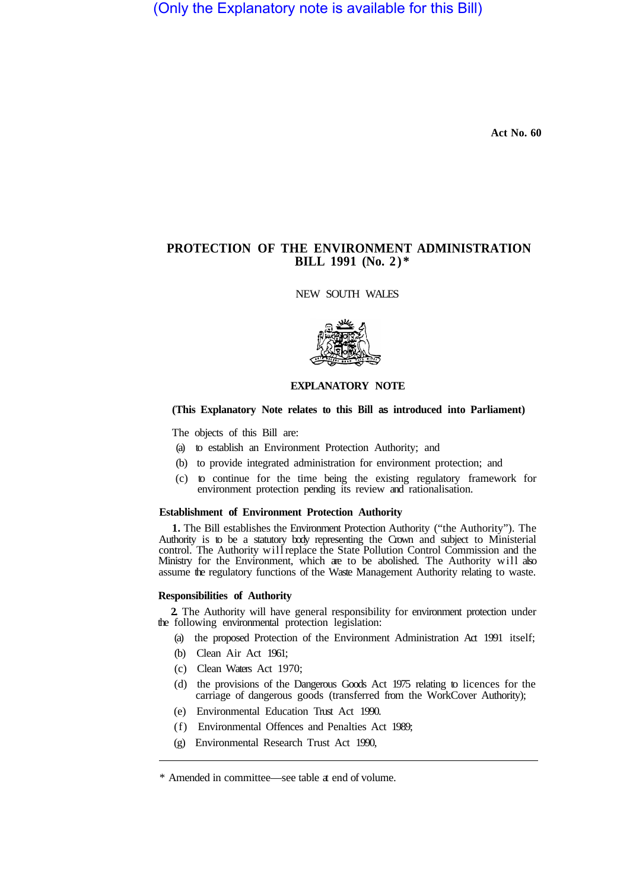(Only the Explanatory note is available for this Bill)

**Act No. 60** 

# **PROTECTION OF THE ENVIRONMENT ADMINISTRATION BILL 1991 (No. 2)\***

NEW SOUTH WALES



# **EXPLANATORY NOTE**

## **(This Explanatory Note relates to this Bill as introduced into Parliament)**

The objects of this Bill are:

- (a) to establish an Environment Protection Authority; and
- (b) to provide integrated administration for environment protection; and
- (c) to continue for the time being the existing regulatory framework for environment protection pending its review and rationalisation.

### **Establishment of Environment Protection Authority**

**1.** The Bill establishes the Environment Protection Authority ("the Authority"). The Authority is to be a statutory body representing the Crown and subject to Ministerial control. The Authority will replace the State Pollution Control Commission and the Ministry for the Environment, which are to be abolished. The Authority will also assume the regulatory functions of the Waste Management Authority relating to waste.

# **Responsibilities of Authority**

the following environmental protection legislation: **2.** The Authority will have general responsibility for environment protection under

- (a) the proposed Protection of the Environment Administration Act 1991 itself;
- (b) Clean Air Act 1961;
- (c) Clean Waters Act 1970;
- (d) the provisions of the Dangerous Goods Act 1975 relating to licences for the carriage of dangerous goods (transferred from the WorkCover Authority);
- (e) Environmental Education Trust Act 1990.
- (f) Environmental Offences and Penalties Act 1989;
- (g) Environmental Research Trust Act 1990,

<sup>\*</sup> Amended in committee—see table at end of volume.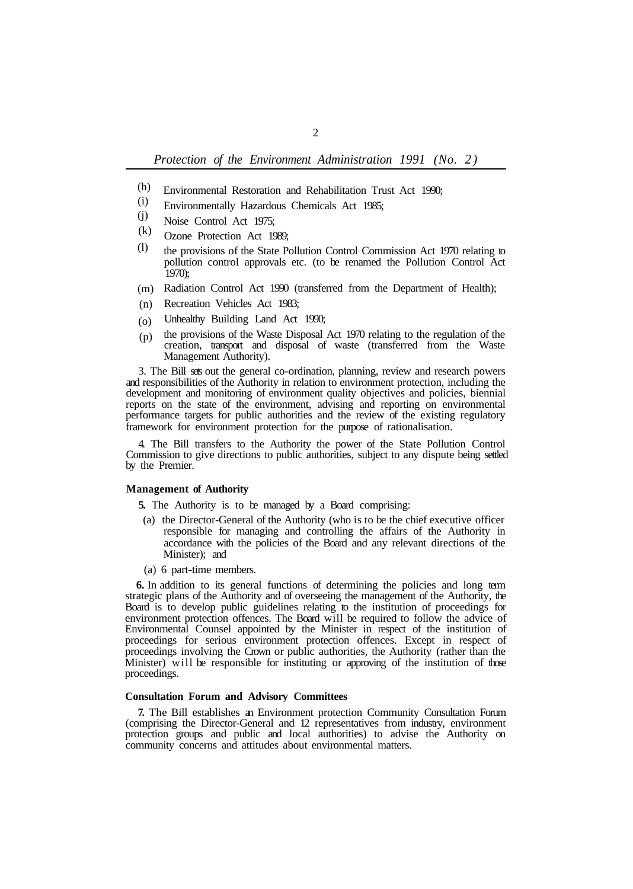- Environmental Restoration and Rehabilitation Trust Act 1990; (h)
- Environmentally Hazardous Chemicals Act 1985; (i)
- Noise Control Act 1975; (j)
- Ozone Protection Act 1989; (k)
- the provisions of the State Pollution Control Commission Act 1970 relating to pollution control approvals etc. (to be renamed the Pollution Control Act 1970); (l)
- (m) Radiation Control Act 1990 (transferred from the Department of Health);
- (n) Recreation Vehicles Act 1983;
- Unhealthy Building Land Act 1990; (o)
- the provisions of the Waste Disposal Act 1970 relating to the regulation of the creation, transport and disposal of waste (transferred from the Waste Management Authority). (p)

3. The Bill sets out the general co-ordination, planning, review and research powers and responsibilities of the Authority in relation to environment protection, including the development and monitoring of environment quality objectives and policies, biennial reports on the state of the environment, advising and reporting on environmental performance targets for public authorities and the review of the existing regulatory framework for environment protection for the purpose of rationalisation.

4. The Bill transfers to the Authority the power of the State Pollution Control Commission to give directions to public authorities, subject to any dispute being settled by the Premier.

### **Management of Authority**

**5.** The Authority is to be managed by a Board comprising:

- (a) the Director-General of the Authority (who is to be the chief executive officer responsible for managing and controlling the affairs of the Authority in accordance with the policies of the Board and any relevant directions of the Minister); and
- (a) 6 part-time members.

**6.** In addition to its general functions of determining the policies and long term strategic plans of the Authority and of overseeing the management of the Authority, the Board is to develop public guidelines relating to the institution of proceedings for environment protection offences. The Board will be required to follow the advice of Environmental Counsel appointed by the Minister in respect of the institution of proceedings for serious environment protection offences. Except in respect of proceedings involving the Crown or public authorities, the Authority (rather than the Minister) will be responsible for instituting or approving of the institution of those proceedings.

### **Consultation Forum and Advisory Committees**

**7.** The Bill establishes an Environment protection Community Consultation Forum (comprising the Director-General and 12 representatives from industry, environment protection groups and public and local authorities) to advise the Authority on community concerns and attitudes about environmental matters.